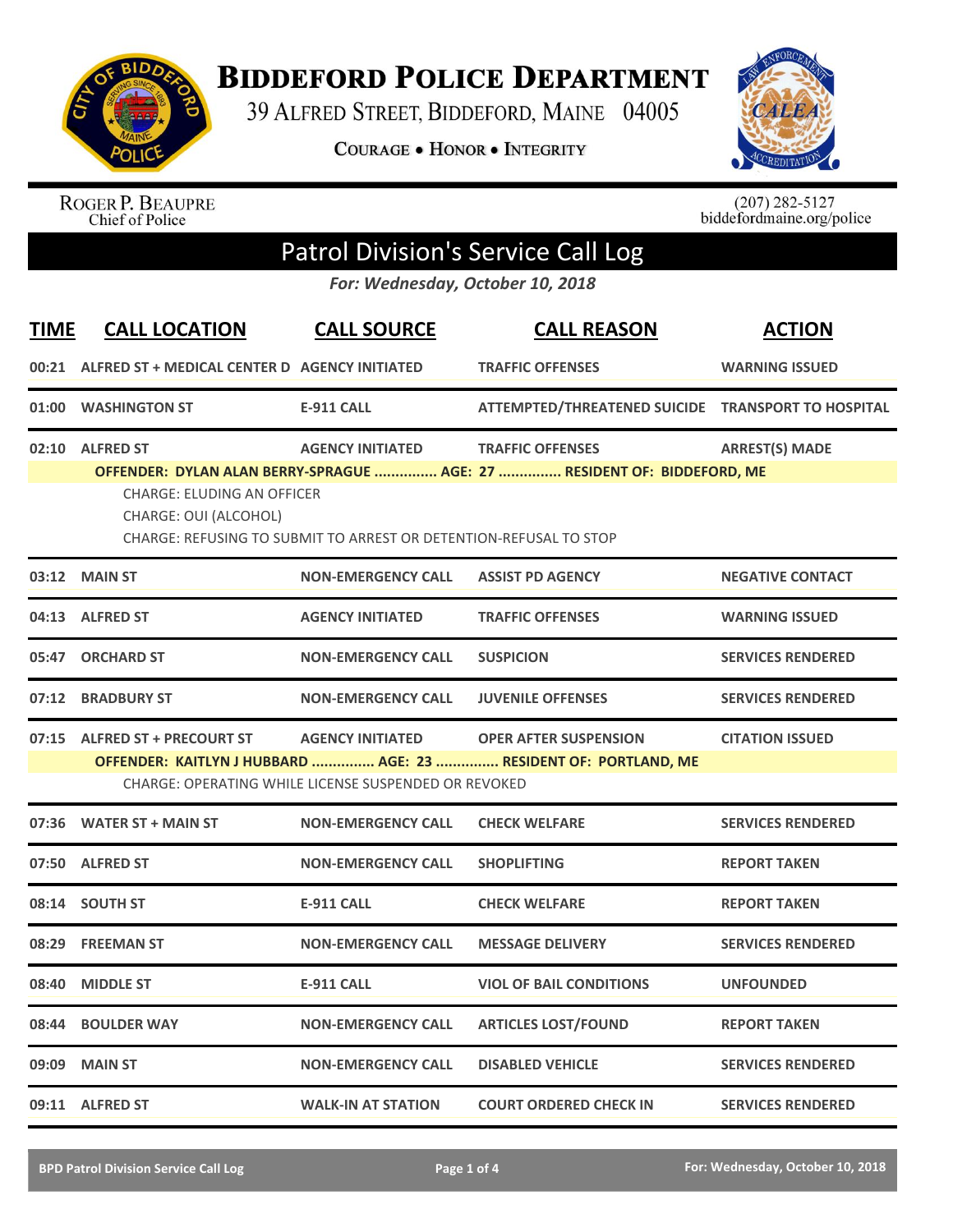

**BIDDEFORD POLICE DEPARTMENT** 

39 ALFRED STREET, BIDDEFORD, MAINE 04005

**COURAGE . HONOR . INTEGRITY** 



ROGER P. BEAUPRE<br>Chief of Police

 $(207)$  282-5127<br>biddefordmaine.org/police

## Patrol Division's Service Call Log

*For: Wednesday, October 10, 2018*

| <b>TIME</b> | <b>CALL LOCATION</b>                                       | <b>CALL SOURCE</b>                                                | <b>CALL REASON</b>                                                      | <b>ACTION</b>            |
|-------------|------------------------------------------------------------|-------------------------------------------------------------------|-------------------------------------------------------------------------|--------------------------|
|             | 00:21 ALFRED ST + MEDICAL CENTER D AGENCY INITIATED        |                                                                   | <b>TRAFFIC OFFENSES</b>                                                 | <b>WARNING ISSUED</b>    |
| 01:00       | <b>WASHINGTON ST</b>                                       | <b>E-911 CALL</b>                                                 | ATTEMPTED/THREATENED SUICIDE TRANSPORT TO HOSPITAL                      |                          |
|             | 02:10 ALFRED ST                                            | <b>AGENCY INITIATED</b>                                           | <b>TRAFFIC OFFENSES</b>                                                 | <b>ARREST(S) MADE</b>    |
|             | <b>CHARGE: ELUDING AN OFFICER</b><br>CHARGE: OUI (ALCOHOL) | CHARGE: REFUSING TO SUBMIT TO ARREST OR DETENTION-REFUSAL TO STOP | OFFENDER: DYLAN ALAN BERRY-SPRAGUE  AGE: 27  RESIDENT OF: BIDDEFORD, ME |                          |
| 03:12       | <b>MAIN ST</b>                                             | <b>NON-EMERGENCY CALL</b>                                         | <b>ASSIST PD AGENCY</b>                                                 | <b>NEGATIVE CONTACT</b>  |
| 04:13       | <b>ALFRED ST</b>                                           | <b>AGENCY INITIATED</b>                                           | <b>TRAFFIC OFFENSES</b>                                                 | <b>WARNING ISSUED</b>    |
| 05:47       | <b>ORCHARD ST</b>                                          | <b>NON-EMERGENCY CALL</b>                                         | <b>SUSPICION</b>                                                        | <b>SERVICES RENDERED</b> |
| 07:12       | <b>BRADBURY ST</b>                                         | <b>NON-EMERGENCY CALL</b>                                         | <b>JUVENILE OFFENSES</b>                                                | <b>SERVICES RENDERED</b> |
|             | 07:15 ALFRED ST + PRECOURT ST                              | <b>AGENCY INITIATED</b>                                           | <b>OPER AFTER SUSPENSION</b>                                            | <b>CITATION ISSUED</b>   |
|             |                                                            | CHARGE: OPERATING WHILE LICENSE SUSPENDED OR REVOKED              | OFFENDER: KAITLYN J HUBBARD  AGE: 23  RESIDENT OF: PORTLAND, ME         |                          |
|             | 07:36 WATER ST + MAIN ST                                   | <b>NON-EMERGENCY CALL</b>                                         | <b>CHECK WELFARE</b>                                                    | <b>SERVICES RENDERED</b> |
|             | 07:50 ALFRED ST                                            | <b>NON-EMERGENCY CALL</b>                                         | <b>SHOPLIFTING</b>                                                      | <b>REPORT TAKEN</b>      |
| 08:14       | <b>SOUTH ST</b>                                            | <b>E-911 CALL</b>                                                 | <b>CHECK WELFARE</b>                                                    | <b>REPORT TAKEN</b>      |
| 08:29       | <b>FREEMAN ST</b>                                          | <b>NON-EMERGENCY CALL</b>                                         | <b>MESSAGE DELIVERY</b>                                                 | <b>SERVICES RENDERED</b> |
| 08:40       | <b>MIDDLE ST</b>                                           | <b>E-911 CALL</b>                                                 | <b>VIOL OF BAIL CONDITIONS</b>                                          | <b>UNFOUNDED</b>         |
| 08:44       | <b>BOULDER WAY</b>                                         | <b>NON-EMERGENCY CALL</b>                                         | <b>ARTICLES LOST/FOUND</b>                                              | <b>REPORT TAKEN</b>      |
| 09:09       | <b>MAIN ST</b>                                             | <b>NON-EMERGENCY CALL</b>                                         | <b>DISABLED VEHICLE</b>                                                 | <b>SERVICES RENDERED</b> |
|             | 09:11 ALFRED ST                                            | <b>WALK-IN AT STATION</b>                                         | <b>COURT ORDERED CHECK IN</b>                                           | <b>SERVICES RENDERED</b> |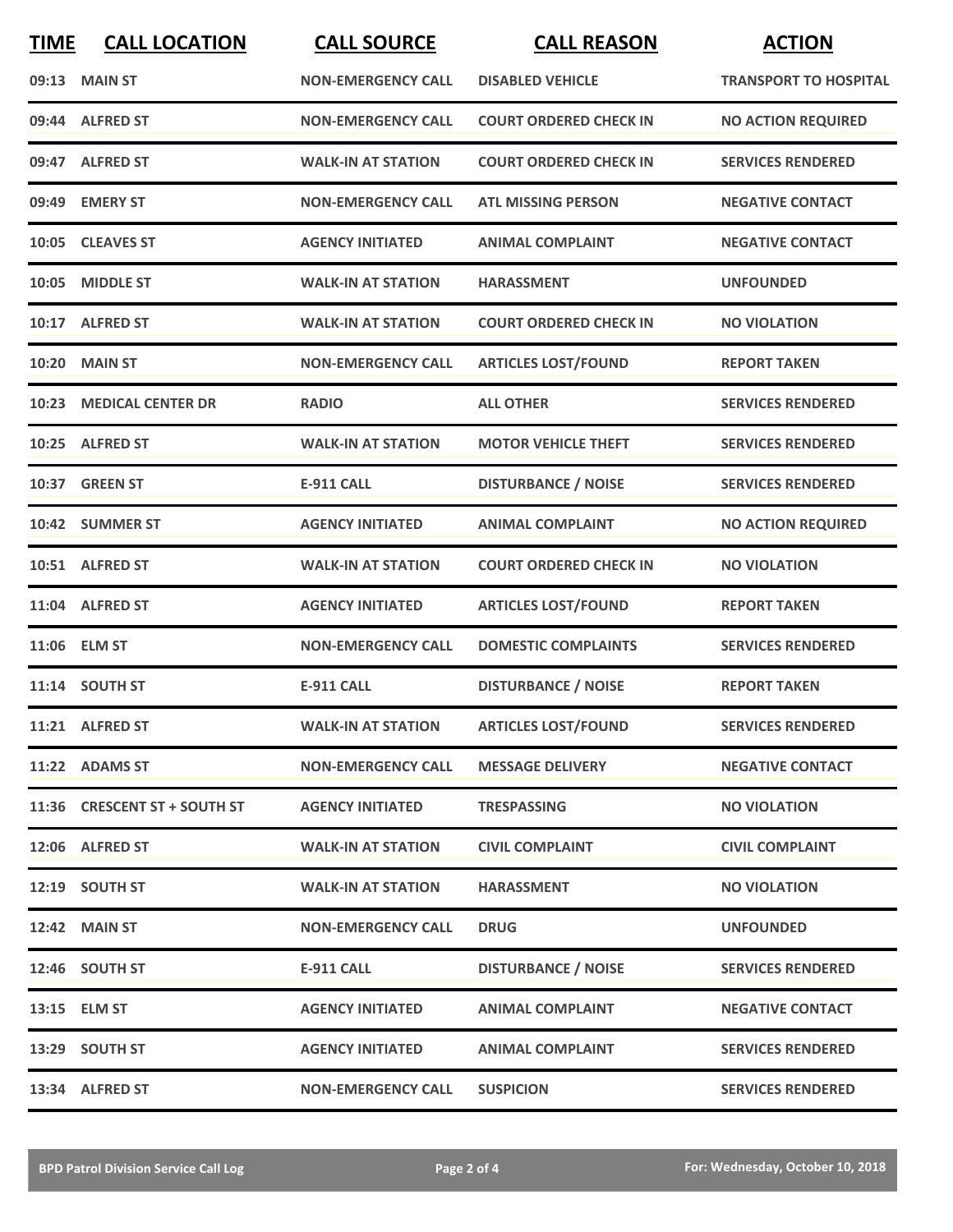| <b>TIME</b> | <b>CALL LOCATION</b>         | <b>CALL SOURCE</b>        | <b>CALL REASON</b>            | <b>ACTION</b>                |
|-------------|------------------------------|---------------------------|-------------------------------|------------------------------|
|             | 09:13 MAIN ST                | <b>NON-EMERGENCY CALL</b> | <b>DISABLED VEHICLE</b>       | <b>TRANSPORT TO HOSPITAL</b> |
|             | 09:44 ALFRED ST              | <b>NON-EMERGENCY CALL</b> | <b>COURT ORDERED CHECK IN</b> | <b>NO ACTION REQUIRED</b>    |
|             | 09:47 ALFRED ST              | <b>WALK-IN AT STATION</b> | <b>COURT ORDERED CHECK IN</b> | <b>SERVICES RENDERED</b>     |
| 09:49       | <b>EMERY ST</b>              | <b>NON-EMERGENCY CALL</b> | <b>ATL MISSING PERSON</b>     | <b>NEGATIVE CONTACT</b>      |
|             | 10:05 CLEAVES ST             | <b>AGENCY INITIATED</b>   | <b>ANIMAL COMPLAINT</b>       | <b>NEGATIVE CONTACT</b>      |
| 10:05       | <b>MIDDLE ST</b>             | <b>WALK-IN AT STATION</b> | HARASSMENT                    | <b>UNFOUNDED</b>             |
|             | 10:17 ALFRED ST              | <b>WALK-IN AT STATION</b> | <b>COURT ORDERED CHECK IN</b> | <b>NO VIOLATION</b>          |
| 10:20       | <b>MAIN ST</b>               | <b>NON-EMERGENCY CALL</b> | <b>ARTICLES LOST/FOUND</b>    | <b>REPORT TAKEN</b>          |
| 10:23       | <b>MEDICAL CENTER DR</b>     | <b>RADIO</b>              | <b>ALL OTHER</b>              | <b>SERVICES RENDERED</b>     |
|             | 10:25 ALFRED ST              | <b>WALK-IN AT STATION</b> | <b>MOTOR VEHICLE THEFT</b>    | <b>SERVICES RENDERED</b>     |
|             | 10:37 GREEN ST               | <b>E-911 CALL</b>         | <b>DISTURBANCE / NOISE</b>    | <b>SERVICES RENDERED</b>     |
|             | 10:42 SUMMER ST              | <b>AGENCY INITIATED</b>   | <b>ANIMAL COMPLAINT</b>       | <b>NO ACTION REQUIRED</b>    |
|             | 10:51 ALFRED ST              | <b>WALK-IN AT STATION</b> | <b>COURT ORDERED CHECK IN</b> | <b>NO VIOLATION</b>          |
| 11:04       | <b>ALFRED ST</b>             | <b>AGENCY INITIATED</b>   | <b>ARTICLES LOST/FOUND</b>    | <b>REPORT TAKEN</b>          |
| 11:06       | <b>ELM ST</b>                | <b>NON-EMERGENCY CALL</b> | <b>DOMESTIC COMPLAINTS</b>    | <b>SERVICES RENDERED</b>     |
|             | 11:14 SOUTH ST               | <b>E-911 CALL</b>         | <b>DISTURBANCE / NOISE</b>    | <b>REPORT TAKEN</b>          |
|             | 11:21 ALFRED ST              | <b>WALK-IN AT STATION</b> | <b>ARTICLES LOST/FOUND</b>    | <b>SERVICES RENDERED</b>     |
|             | 11:22 ADAMS ST               | <b>NON-EMERGENCY CALL</b> | <b>MESSAGE DELIVERY</b>       | <b>NEGATIVE CONTACT</b>      |
|             | 11:36 CRESCENT ST + SOUTH ST | <b>AGENCY INITIATED</b>   | <b>TRESPASSING</b>            | <b>NO VIOLATION</b>          |
|             | 12:06 ALFRED ST              | <b>WALK-IN AT STATION</b> | <b>CIVIL COMPLAINT</b>        | <b>CIVIL COMPLAINT</b>       |
|             | 12:19 SOUTH ST               | <b>WALK-IN AT STATION</b> | <b>HARASSMENT</b>             | <b>NO VIOLATION</b>          |
|             | <b>12:42 MAIN ST</b>         | <b>NON-EMERGENCY CALL</b> | <b>DRUG</b>                   | <b>UNFOUNDED</b>             |
|             | 12:46 SOUTH ST               | E-911 CALL                | <b>DISTURBANCE / NOISE</b>    | <b>SERVICES RENDERED</b>     |
|             | 13:15 ELM ST                 | <b>AGENCY INITIATED</b>   | <b>ANIMAL COMPLAINT</b>       | <b>NEGATIVE CONTACT</b>      |
|             | 13:29 SOUTH ST               | <b>AGENCY INITIATED</b>   | <b>ANIMAL COMPLAINT</b>       | <b>SERVICES RENDERED</b>     |
|             | 13:34 ALFRED ST              | <b>NON-EMERGENCY CALL</b> | <b>SUSPICION</b>              | <b>SERVICES RENDERED</b>     |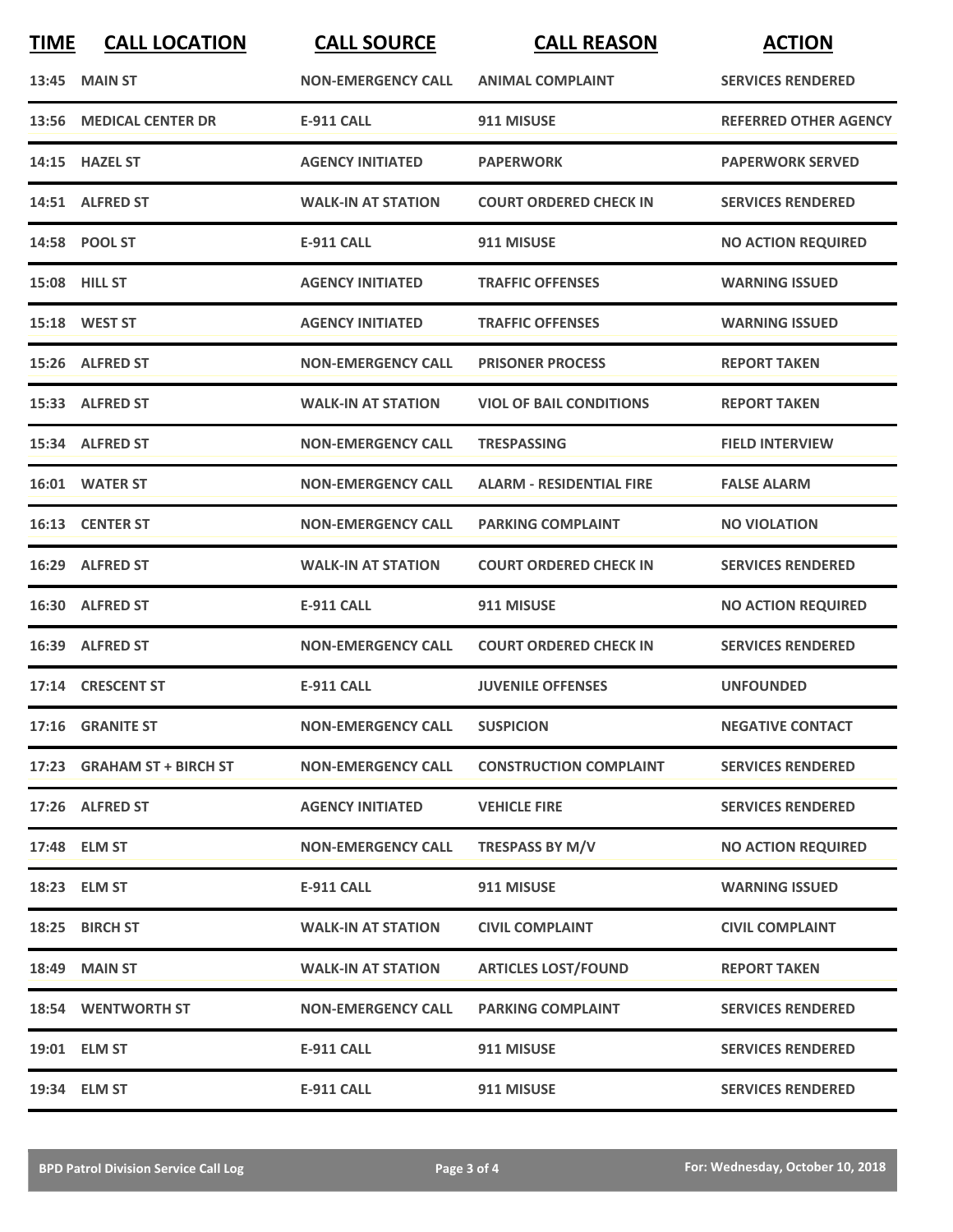| <b>TIME</b> | <b>CALL LOCATION</b>       | <b>CALL SOURCE</b>        | <b>CALL REASON</b>              | <b>ACTION</b>                |
|-------------|----------------------------|---------------------------|---------------------------------|------------------------------|
|             | 13:45 MAIN ST              | <b>NON-EMERGENCY CALL</b> | <b>ANIMAL COMPLAINT</b>         | <b>SERVICES RENDERED</b>     |
|             | 13:56 MEDICAL CENTER DR    | <b>E-911 CALL</b>         | 911 MISUSE                      | <b>REFERRED OTHER AGENCY</b> |
|             | 14:15 HAZEL ST             | <b>AGENCY INITIATED</b>   | <b>PAPERWORK</b>                | <b>PAPERWORK SERVED</b>      |
|             | 14:51 ALFRED ST            | <b>WALK-IN AT STATION</b> | <b>COURT ORDERED CHECK IN</b>   | <b>SERVICES RENDERED</b>     |
|             | 14:58 POOL ST              | <b>E-911 CALL</b>         | 911 MISUSE                      | <b>NO ACTION REQUIRED</b>    |
|             | <b>15:08 HILL ST</b>       | <b>AGENCY INITIATED</b>   | <b>TRAFFIC OFFENSES</b>         | <b>WARNING ISSUED</b>        |
|             | <b>15:18 WEST ST</b>       | <b>AGENCY INITIATED</b>   | <b>TRAFFIC OFFENSES</b>         | <b>WARNING ISSUED</b>        |
|             | 15:26 ALFRED ST            | <b>NON-EMERGENCY CALL</b> | <b>PRISONER PROCESS</b>         | <b>REPORT TAKEN</b>          |
|             | 15:33 ALFRED ST            | <b>WALK-IN AT STATION</b> | <b>VIOL OF BAIL CONDITIONS</b>  | <b>REPORT TAKEN</b>          |
|             | 15:34 ALFRED ST            | <b>NON-EMERGENCY CALL</b> | <b>TRESPASSING</b>              | <b>FIELD INTERVIEW</b>       |
|             | 16:01 WATER ST             | <b>NON-EMERGENCY CALL</b> | <b>ALARM - RESIDENTIAL FIRE</b> | <b>FALSE ALARM</b>           |
|             | 16:13 CENTER ST            | <b>NON-EMERGENCY CALL</b> | <b>PARKING COMPLAINT</b>        | <b>NO VIOLATION</b>          |
|             | 16:29 ALFRED ST            | <b>WALK-IN AT STATION</b> | <b>COURT ORDERED CHECK IN</b>   | <b>SERVICES RENDERED</b>     |
|             | 16:30 ALFRED ST            | <b>E-911 CALL</b>         | 911 MISUSE                      | <b>NO ACTION REQUIRED</b>    |
|             | 16:39 ALFRED ST            | <b>NON-EMERGENCY CALL</b> | <b>COURT ORDERED CHECK IN</b>   | <b>SERVICES RENDERED</b>     |
|             | 17:14 CRESCENT ST          | <b>E-911 CALL</b>         | <b>JUVENILE OFFENSES</b>        | <b>UNFOUNDED</b>             |
|             | 17:16 GRANITE ST           | <b>NON-EMERGENCY CALL</b> | <b>SUSPICION</b>                | <b>NEGATIVE CONTACT</b>      |
|             | 17:23 GRAHAM ST + BIRCH ST | <b>NON-EMERGENCY CALL</b> | <b>CONSTRUCTION COMPLAINT</b>   | <b>SERVICES RENDERED</b>     |
|             | 17:26 ALFRED ST            | <b>AGENCY INITIATED</b>   | <b>VEHICLE FIRE</b>             | <b>SERVICES RENDERED</b>     |
|             | 17:48 ELM ST               | <b>NON-EMERGENCY CALL</b> | TRESPASS BY M/V                 | <b>NO ACTION REQUIRED</b>    |
|             | 18:23 ELM ST               | <b>E-911 CALL</b>         | 911 MISUSE                      | <b>WARNING ISSUED</b>        |
|             | 18:25 BIRCH ST             | <b>WALK-IN AT STATION</b> | <b>CIVIL COMPLAINT</b>          | <b>CIVIL COMPLAINT</b>       |
|             | <b>18:49 MAIN ST</b>       | <b>WALK-IN AT STATION</b> | <b>ARTICLES LOST/FOUND</b>      | <b>REPORT TAKEN</b>          |
|             | <b>18:54 WENTWORTH ST</b>  | <b>NON-EMERGENCY CALL</b> | <b>PARKING COMPLAINT</b>        | <b>SERVICES RENDERED</b>     |
|             | 19:01 ELM ST               | <b>E-911 CALL</b>         | 911 MISUSE                      | <b>SERVICES RENDERED</b>     |
|             | 19:34 ELM ST               | E-911 CALL                | 911 MISUSE                      | <b>SERVICES RENDERED</b>     |